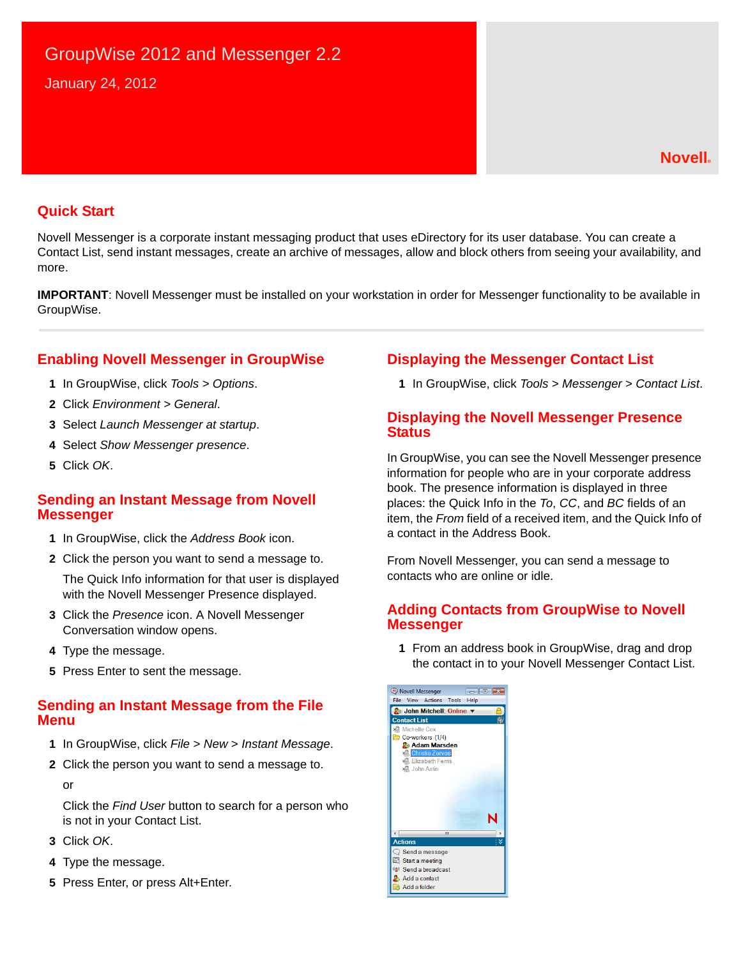# GroupWise 2012 and Messenger 2.2 January 24, 2012

#### **Quick Start**

Novell Messenger is a corporate instant messaging product that uses eDirectory for its user database. You can create a Contact List, send instant messages, create an archive of messages, allow and block others from seeing your availability, and more.

**IMPORTANT**: Novell Messenger must be installed on your workstation in order for Messenger functionality to be available in GroupWise.

## **Enabling Novell Messenger in GroupWise**

- **1** In GroupWise, click *Tools > Options*.
- **2** Click *Environment > General*.
- **3** Select *Launch Messenger at startup*.
- **4** Select *Show Messenger presence*.
- **5** Click *OK*.

#### **Sending an Instant Message from Novell Messenger**

- **1** In GroupWise, click the *Address Book* icon.
- **2** Click the person you want to send a message to.

The Quick Info information for that user is displayed with the Novell Messenger Presence displayed.

- **3** Click the *Presence* icon. A Novell Messenger Conversation window opens.
- **4** Type the message.
- **5** Press Enter to sent the message.

### **Sending an Instant Message from the File Menu**

- **1** In GroupWise, click *File* > *New* > *Instant Message*.
- **2** Click the person you want to send a message to.

or

Click the *Find User* button to search for a person who is not in your Contact List.

- **3** Click *OK*.
- **4** Type the message.
- **5** Press Enter, or press Alt+Enter.

## **Displaying the Messenger Contact List**

**1** In GroupWise, click *Tools* > *Messenger* > *Contact List*.

#### **Displaying the Novell Messenger Presence Status**

In GroupWise, you can see the Novell Messenger presence information for people who are in your corporate address book. The presence information is displayed in three places: the Quick Info in the *To*, *CC*, and *BC* fields of an item, the *From* field of a received item, and the Quick Info of a contact in the Address Book.

From Novell Messenger, you can send a message to contacts who are online or idle.

#### **Adding Contacts from GroupWise to Novell Messenger**

**1** From an address book in GroupWise, drag and drop the contact in to your Novell Messenger Contact List.